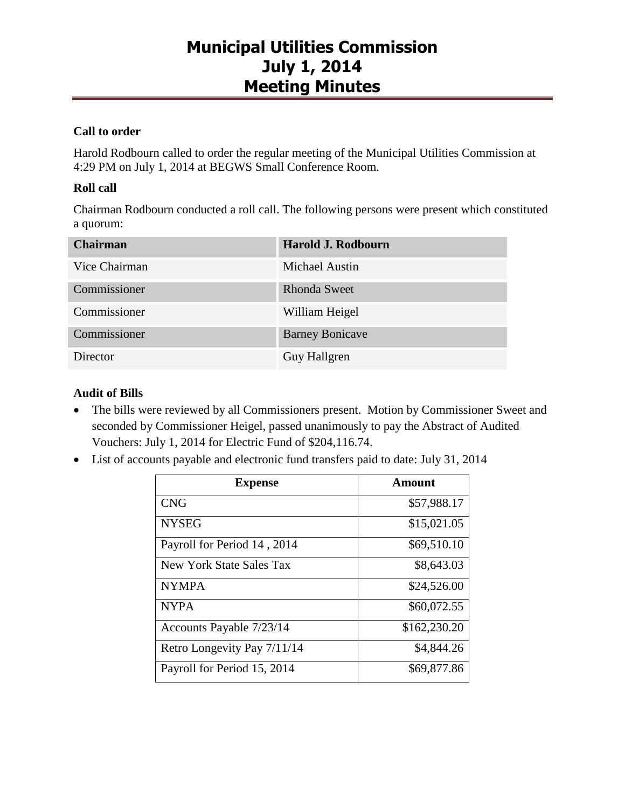### **Call to order**

Harold Rodbourn called to order the regular meeting of the Municipal Utilities Commission at 4:29 PM on July 1, 2014 at BEGWS Small Conference Room.

### **Roll call**

Chairman Rodbourn conducted a roll call. The following persons were present which constituted a quorum:

| <b>Chairman</b> | Harold J. Rodbourn     |
|-----------------|------------------------|
| Vice Chairman   | <b>Michael Austin</b>  |
| Commissioner    | <b>Rhonda Sweet</b>    |
| Commissioner    | William Heigel         |
| Commissioner    | <b>Barney Bonicave</b> |
| Director        | Guy Hallgren           |

### **Audit of Bills**

- The bills were reviewed by all Commissioners present. Motion by Commissioner Sweet and seconded by Commissioner Heigel, passed unanimously to pay the Abstract of Audited Vouchers: July 1, 2014 for Electric Fund of \$204,116.74.
- List of accounts payable and electronic fund transfers paid to date: July 31, 2014

| <b>Expense</b>              | Amount       |
|-----------------------------|--------------|
| <b>CNG</b>                  | \$57,988.17  |
| <b>NYSEG</b>                | \$15,021.05  |
| Payroll for Period 14, 2014 | \$69,510.10  |
| New York State Sales Tax    | \$8,643.03   |
| <b>NYMPA</b>                | \$24,526.00  |
| <b>NYPA</b>                 | \$60,072.55  |
| Accounts Payable 7/23/14    | \$162,230.20 |
| Retro Longevity Pay 7/11/14 | \$4,844.26   |
| Payroll for Period 15, 2014 | \$69,877.86  |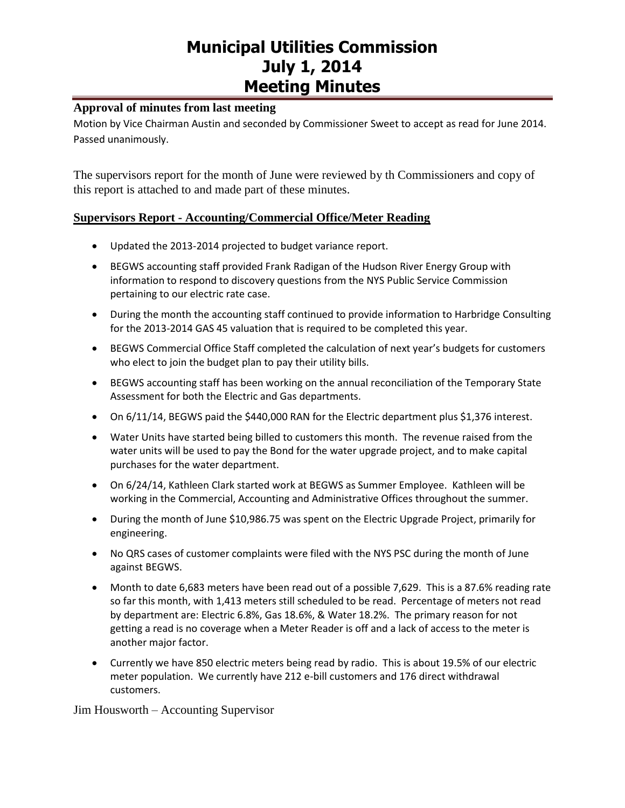#### **Approval of minutes from last meeting**

Motion by Vice Chairman Austin and seconded by Commissioner Sweet to accept as read for June 2014. Passed unanimously.

The supervisors report for the month of June were reviewed by th Commissioners and copy of this report is attached to and made part of these minutes.

#### **Supervisors Report - Accounting/Commercial Office/Meter Reading**

- Updated the 2013-2014 projected to budget variance report.
- BEGWS accounting staff provided Frank Radigan of the Hudson River Energy Group with information to respond to discovery questions from the NYS Public Service Commission pertaining to our electric rate case.
- During the month the accounting staff continued to provide information to Harbridge Consulting for the 2013-2014 GAS 45 valuation that is required to be completed this year.
- BEGWS Commercial Office Staff completed the calculation of next year's budgets for customers who elect to join the budget plan to pay their utility bills.
- BEGWS accounting staff has been working on the annual reconciliation of the Temporary State Assessment for both the Electric and Gas departments.
- On 6/11/14, BEGWS paid the \$440,000 RAN for the Electric department plus \$1,376 interest.
- Water Units have started being billed to customers this month. The revenue raised from the water units will be used to pay the Bond for the water upgrade project, and to make capital purchases for the water department.
- On 6/24/14, Kathleen Clark started work at BEGWS as Summer Employee. Kathleen will be working in the Commercial, Accounting and Administrative Offices throughout the summer.
- During the month of June \$10,986.75 was spent on the Electric Upgrade Project, primarily for engineering.
- No QRS cases of customer complaints were filed with the NYS PSC during the month of June against BEGWS.
- Month to date 6,683 meters have been read out of a possible 7,629. This is a 87.6% reading rate so far this month, with 1,413 meters still scheduled to be read. Percentage of meters not read by department are: Electric 6.8%, Gas 18.6%, & Water 18.2%. The primary reason for not getting a read is no coverage when a Meter Reader is off and a lack of access to the meter is another major factor.
- Currently we have 850 electric meters being read by radio. This is about 19.5% of our electric meter population. We currently have 212 e-bill customers and 176 direct withdrawal customers.

Jim Housworth – Accounting Supervisor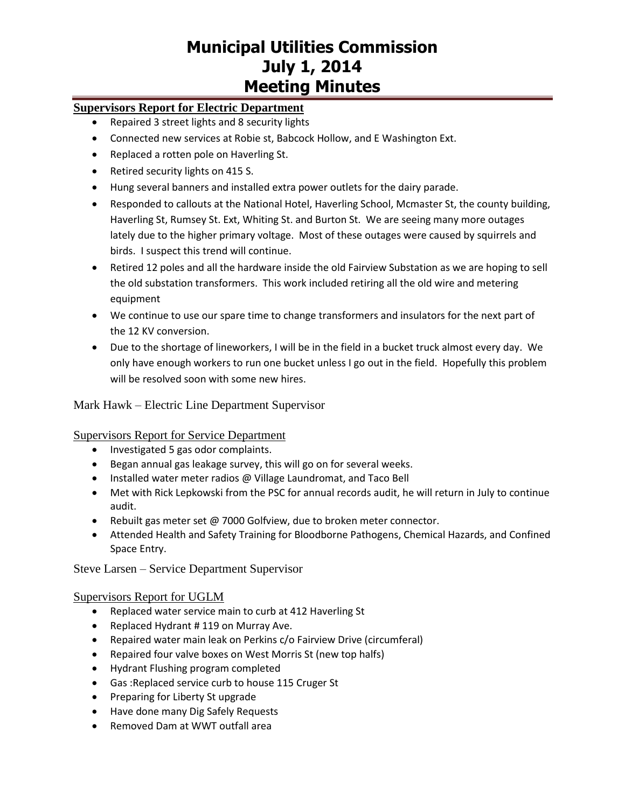### **Supervisors Report for Electric Department**

- Repaired 3 street lights and 8 security lights
- Connected new services at Robie st, Babcock Hollow, and E Washington Ext.
- Replaced a rotten pole on Haverling St.
- Retired security lights on 415 S.
- Hung several banners and installed extra power outlets for the dairy parade.
- Responded to callouts at the National Hotel, Haverling School, Mcmaster St, the county building, Haverling St, Rumsey St. Ext, Whiting St. and Burton St. We are seeing many more outages lately due to the higher primary voltage. Most of these outages were caused by squirrels and birds. I suspect this trend will continue.
- Retired 12 poles and all the hardware inside the old Fairview Substation as we are hoping to sell the old substation transformers. This work included retiring all the old wire and metering equipment
- We continue to use our spare time to change transformers and insulators for the next part of the 12 KV conversion.
- Due to the shortage of lineworkers, I will be in the field in a bucket truck almost every day. We only have enough workers to run one bucket unless I go out in the field. Hopefully this problem will be resolved soon with some new hires.

#### Mark Hawk – Electric Line Department Supervisor

#### Supervisors Report for Service Department

- Investigated 5 gas odor complaints.
- Began annual gas leakage survey, this will go on for several weeks.
- Installed water meter radios @ Village Laundromat, and Taco Bell
- Met with Rick Lepkowski from the PSC for annual records audit, he will return in July to continue audit.
- Rebuilt gas meter set @ 7000 Golfview, due to broken meter connector.
- Attended Health and Safety Training for Bloodborne Pathogens, Chemical Hazards, and Confined Space Entry.

Steve Larsen – Service Department Supervisor

#### Supervisors Report for UGLM

- Replaced water service main to curb at 412 Haverling St
- Replaced Hydrant # 119 on Murray Ave.
- Repaired water main leak on Perkins c/o Fairview Drive (circumferal)
- Repaired four valve boxes on West Morris St (new top halfs)
- Hydrant Flushing program completed
- Gas :Replaced service curb to house 115 Cruger St
- Preparing for Liberty St upgrade
- Have done many Dig Safely Requests
- Removed Dam at WWT outfall area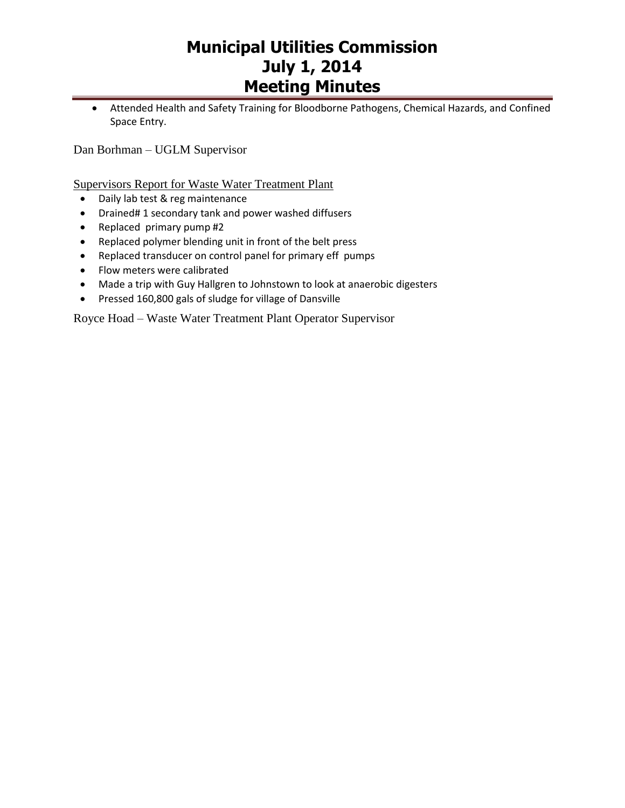Attended Health and Safety Training for Bloodborne Pathogens, Chemical Hazards, and Confined Space Entry.

Dan Borhman – UGLM Supervisor

Supervisors Report for Waste Water Treatment Plant

- Daily lab test & reg maintenance
- Drained# 1 secondary tank and power washed diffusers
- Replaced primary pump #2
- Replaced polymer blending unit in front of the belt press
- Replaced transducer on control panel for primary eff pumps
- Flow meters were calibrated
- Made a trip with Guy Hallgren to Johnstown to look at anaerobic digesters
- Pressed 160,800 gals of sludge for village of Dansville

Royce Hoad – Waste Water Treatment Plant Operator Supervisor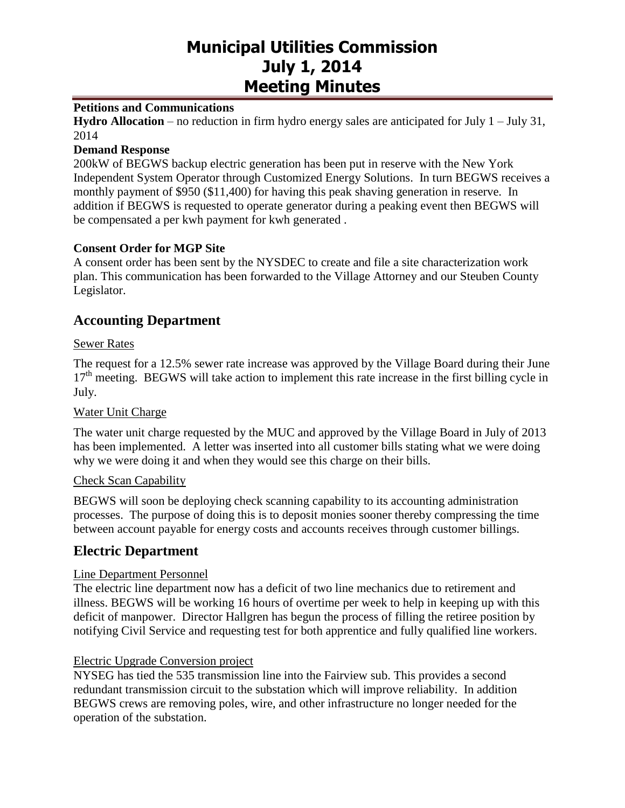#### **Petitions and Communications**

**Hydro Allocation** – no reduction in firm hydro energy sales are anticipated for July 1 – July 31, 2014

#### **Demand Response**

200kW of BEGWS backup electric generation has been put in reserve with the New York Independent System Operator through Customized Energy Solutions. In turn BEGWS receives a monthly payment of \$950 (\$11,400) for having this peak shaving generation in reserve. In addition if BEGWS is requested to operate generator during a peaking event then BEGWS will be compensated a per kwh payment for kwh generated .

#### **Consent Order for MGP Site**

A consent order has been sent by the NYSDEC to create and file a site characterization work plan. This communication has been forwarded to the Village Attorney and our Steuben County Legislator.

## **Accounting Department**

#### Sewer Rates

The request for a 12.5% sewer rate increase was approved by the Village Board during their June  $17<sup>th</sup>$  meeting. BEGWS will take action to implement this rate increase in the first billing cycle in July.

#### Water Unit Charge

The water unit charge requested by the MUC and approved by the Village Board in July of 2013 has been implemented. A letter was inserted into all customer bills stating what we were doing why we were doing it and when they would see this charge on their bills.

#### Check Scan Capability

BEGWS will soon be deploying check scanning capability to its accounting administration processes. The purpose of doing this is to deposit monies sooner thereby compressing the time between account payable for energy costs and accounts receives through customer billings.

### **Electric Department**

#### Line Department Personnel

The electric line department now has a deficit of two line mechanics due to retirement and illness. BEGWS will be working 16 hours of overtime per week to help in keeping up with this deficit of manpower. Director Hallgren has begun the process of filling the retiree position by notifying Civil Service and requesting test for both apprentice and fully qualified line workers.

#### Electric Upgrade Conversion project

NYSEG has tied the 535 transmission line into the Fairview sub. This provides a second redundant transmission circuit to the substation which will improve reliability. In addition BEGWS crews are removing poles, wire, and other infrastructure no longer needed for the operation of the substation.